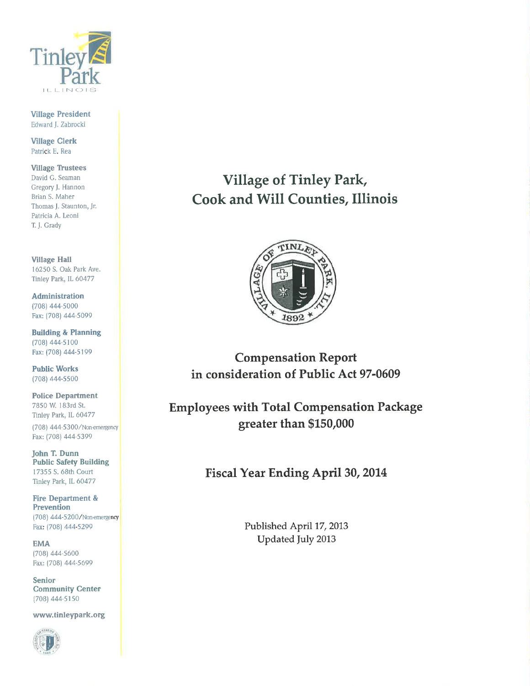

**Village President** Edward J. Zabrocki

**Village Clerk** Patrick E. Rea

**Village Trustees** David G. Seaman Gregory J. Hannon Brian S. Maher Thomas J. Staunton, Jr. Patricia A. Leoni T. J. Grady

**Village Hall** 16250 S. Oak Park Ave. Tinley Park, IL 60477

**Administration** (708) 444-5000 Fax: (708) 444-5099

**Building & Planning** (708) 444-5100 Fax: (708) 444-5199

**Public Works** (708) 444-5500

**Police Department** 7850 W. 183rd St. Tinley Park, IL 60477

(708) 444-5300/Non-emergency Fax: (708) 444-5399

John T. Dunn **Public Safety Building** 17355 S. 68th Court Tinley Park, IL 60477

**Fire Department & Prevention** (708) 444-5200/Non-emergency Fax: (708) 444-5299

**EMA** (708) 444-5600 Fax: (708) 444-5699

**Senior Community Center** (708) 444-5150

www.tinleypark.org



**Village of Tinley Park,** Cook and Will Counties, Illinois



**Compensation Report** in consideration of Public Act 97-0609

**Employees with Total Compensation Package** greater than \$150,000

**Fiscal Year Ending April 30, 2014** 

Published April 17, 2013 Updated July 2013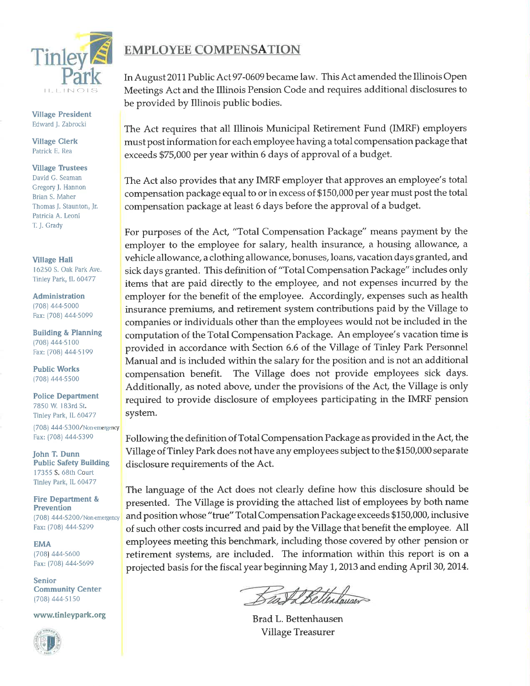

**Village President** Edward J. Zabrocki

**Village Clerk** Patrick E. Rea

## **Village Trustees**

David G. Seaman Gregory J. Hannon Brian S. Maher Thomas J. Staunton, Jr. Patricia A. Leoni T. J. Grady

**Village Hall** 16250 S. Oak Park Ave.

Tinley Park, IL 60477

Administration (708) 444-5000 Fax: (708) 444-5099

**Building & Planning** (708) 444-5100 Fax: (708) 444-5199

**Public Works** (708) 444-5500

**Police Department** 7850 W. 183rd St. Tinley Park, IL 60477 (708) 444-5300/Non-emergency

**John T. Dunn Public Safety Building** 17355 S. 68th Court Tinley Park, IL 60477

Fax: (708) 444-5399

**Fire Department & Prevention** (708) 444-5200/Non-emergency Fax: (708) 444-5299

**EMA** (708) 444-5600 Fax: (708) 444-5699

**Senior Community Center** (708) 444-5150

www.tinleypark.org



## **EMPLOYEE COMPENSATION**

In August 2011 Public Act 97-0609 became law. This Act amended the Illinois Open Meetings Act and the Illinois Pension Code and requires additional disclosures to be provided by Illinois public bodies.

The Act requires that all Illinois Municipal Retirement Fund (IMRF) employers must post information for each employee having a total compensation package that exceeds \$75,000 per year within 6 days of approval of a budget.

The Act also provides that any IMRF employer that approves an employee's total compensation package equal to or in excess of \$150,000 per year must post the total compensation package at least 6 days before the approval of a budget.

For purposes of the Act, "Total Compensation Package" means payment by the employer to the employee for salary, health insurance, a housing allowance, a vehicle allowance, a clothing allowance, bonuses, loans, vacation days granted, and sick days granted. This definition of "Total Compensation Package" includes only items that are paid directly to the employee, and not expenses incurred by the employer for the benefit of the employee. Accordingly, expenses such as health insurance premiums, and retirement system contributions paid by the Village to companies or individuals other than the employees would not be included in the computation of the Total Compensation Package. An employee's vacation time is provided in accordance with Section 6.6 of the Village of Tinley Park Personnel Manual and is included within the salary for the position and is not an additional The Village does not provide employees sick days. compensation benefit. Additionally, as noted above, under the provisions of the Act, the Village is only required to provide disclosure of employees participating in the IMRF pension system.

Following the definition of Total Compensation Package as provided in the Act, the Village of Tinley Park does not have any employees subject to the \$150,000 separate disclosure requirements of the Act.

The language of the Act does not clearly define how this disclosure should be presented. The Village is providing the attached list of employees by both name and position whose "true" Total Compensation Package exceeds \$150,000, inclusive of such other costs incurred and paid by the Village that benefit the employee. All employees meeting this benchmark, including those covered by other pension or retirement systems, are included. The information within this report is on a projected basis for the fiscal year beginning May 1, 2013 and ending April 30, 2014.

Bast & Betterlauser

Brad L. Bettenhausen Village Treasurer